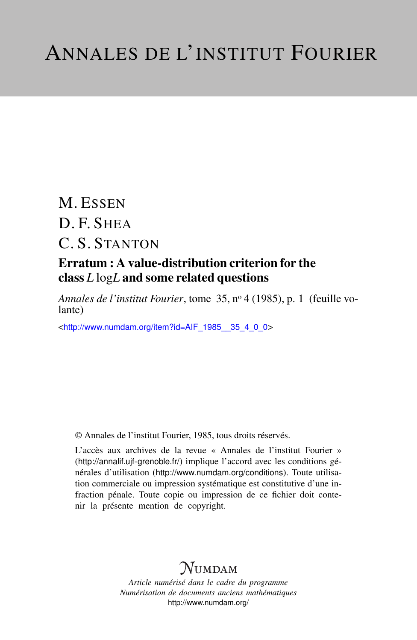## M. ESSEN D. F. SHEA C. S. STANTON

### Erratum : A value-distribution criterion for the class *L* log*L* and some related questions

*Annales de l'institut Fourier*, tome 35, n<sup>o</sup> 4 (1985), p. 1 (feuille volante)

<[http://www.numdam.org/item?id=AIF\\_1985\\_\\_35\\_4\\_0\\_0](http://www.numdam.org/item?id=AIF_1985__35_4_0_0)>

© Annales de l'institut Fourier, 1985, tous droits réservés.

L'accès aux archives de la revue « Annales de l'institut Fourier » (<http://annalif.ujf-grenoble.fr/>) implique l'accord avec les conditions générales d'utilisation (<http://www.numdam.org/conditions>). Toute utilisation commerciale ou impression systématique est constitutive d'une infraction pénale. Toute copie ou impression de ce fichier doit contenir la présente mention de copyright.

### **NUMDAM**

*Article numérisé dans le cadre du programme Numérisation de documents anciens mathématiques* <http://www.numdam.org/>